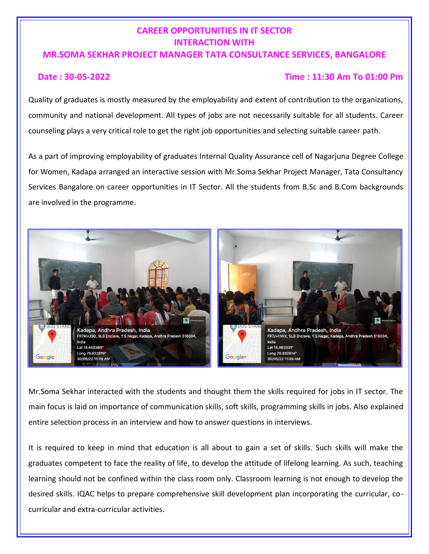## **CAREER OPPORTUNITIES IN IT SECTOR INTERACTION WITH**

## **MR.SOMA SEKHAR PROJECT MANAGER TATA CONSULTANCE SERVICES, BANGALORE**

## **Date : 30-05-2022 Time : 11:30 Am To 01:00 Pm**

Quality of graduates is mostly measured by the employability and extent of contribution to the organizations, community and national development. All types of jobs are not necessarily suitable for all students. Career counseling plays a very critical role to get the right job opportunities and selecting suitable career path.

As a part of improving employability of graduates Internal Quality Assurance cell of Nagarjuna Degree College for Women, Kadapa arranged an interactive session with Mr.Soma Sekhar Project Manager, Tata Consultancy Services Bangalore on career opportunities in IT Sector. All the students from B.Sc and B.Com backgrounds are involved in the programme.



Mr.Soma Sekhar interacted with the students and thought them the skills required for jobs in IT sector. The main focus is laid on importance of communication skills, soft skills, programming skills in jobs. Also explained entire selection process in an interview and how to answer questions in interviews.

It is required to keep in mind that education is all about to gain a set of skills. Such skills will make the graduates competent to face the reality of life, to develop the attitude of lifelong learning. As such, teaching learning should not be confined within the class room only. Classroom learning is not enough to develop the desired skills. IQAC helps to prepare comprehensive skill development plan incorporating the curricular, cocurricular and extra-curricular activities.